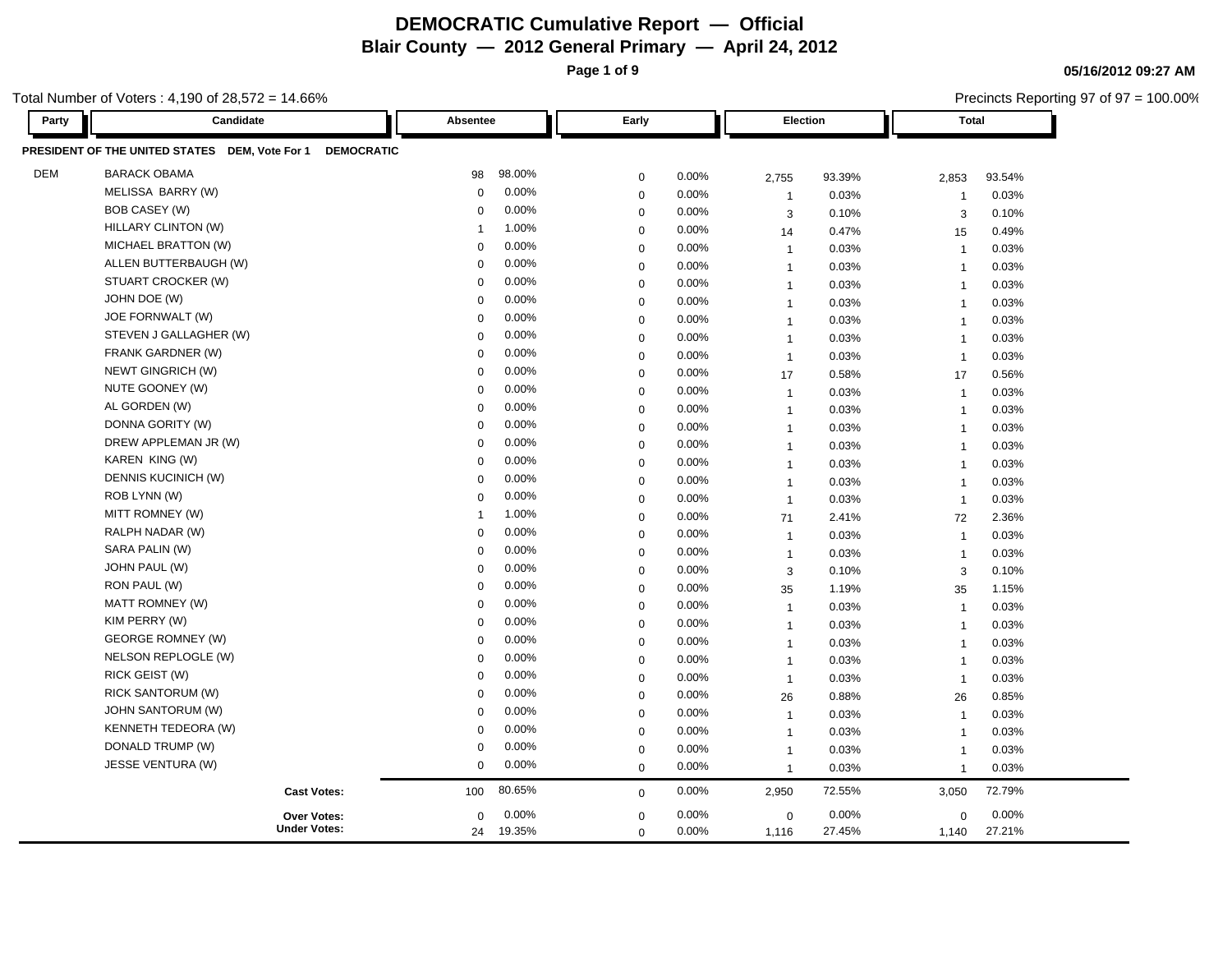**Page 1 of 9**

Precincts Reporting 97 of 97 = 100.00%

**05/16/2012 09:27 AM**

| Party      | Candidate                                                           | Absentee    |          | Early       |       |                | Election | <b>Total</b>            |        |
|------------|---------------------------------------------------------------------|-------------|----------|-------------|-------|----------------|----------|-------------------------|--------|
|            | PRESIDENT OF THE UNITED STATES DEM, Vote For 1<br><b>DEMOCRATIC</b> |             |          |             |       |                |          |                         |        |
| <b>DEM</b> | <b>BARACK OBAMA</b>                                                 | 98          | 98.00%   | $\mathbf 0$ | 0.00% | 2,755          | 93.39%   | 2,853                   | 93.54% |
|            | MELISSA BARRY (W)                                                   | $\mathbf 0$ | 0.00%    | $\mathbf 0$ | 0.00% | $\overline{1}$ | 0.03%    | $\overline{\mathbf{1}}$ | 0.03%  |
|            | BOB CASEY (W)                                                       | $\Omega$    | 0.00%    | $\mathbf 0$ | 0.00% | 3              | 0.10%    | 3                       | 0.10%  |
|            | HILLARY CLINTON (W)                                                 | -1          | 1.00%    | $\mathbf 0$ | 0.00% | 14             | 0.47%    | 15                      | 0.49%  |
|            | MICHAEL BRATTON (W)                                                 | $\Omega$    | 0.00%    | $\mathbf 0$ | 0.00% | $\overline{1}$ | 0.03%    | $\overline{1}$          | 0.03%  |
|            | ALLEN BUTTERBAUGH (W)                                               | $\mathbf 0$ | 0.00%    | $\mathbf 0$ | 0.00% | $\overline{1}$ | 0.03%    | $\overline{1}$          | 0.03%  |
|            | STUART CROCKER (W)                                                  | $\Omega$    | 0.00%    | $\mathbf 0$ | 0.00% | $\overline{1}$ | 0.03%    | $\overline{1}$          | 0.03%  |
|            | JOHN DOE (W)                                                        | $\Omega$    | 0.00%    | $\mathbf 0$ | 0.00% | $\overline{1}$ | 0.03%    | $\overline{1}$          | 0.03%  |
|            | JOE FORNWALT (W)                                                    | $\Omega$    | 0.00%    | $\mathbf 0$ | 0.00% | $\overline{1}$ | 0.03%    | $\overline{1}$          | 0.03%  |
|            | STEVEN J GALLAGHER (W)                                              | $\Omega$    | 0.00%    | $\mathbf 0$ | 0.00% | $\overline{1}$ | 0.03%    | $\overline{\mathbf{1}}$ | 0.03%  |
|            | <b>FRANK GARDNER (W)</b>                                            | $\mathbf 0$ | 0.00%    | $\mathbf 0$ | 0.00% | $\mathbf{1}$   | 0.03%    | $\overline{1}$          | 0.03%  |
|            | NEWT GINGRICH (W)                                                   | $\Omega$    | 0.00%    | $\mathbf 0$ | 0.00% | 17             | 0.58%    | 17                      | 0.56%  |
|            | NUTE GOONEY (W)                                                     | $\Omega$    | 0.00%    | $\mathbf 0$ | 0.00% | $\overline{1}$ | 0.03%    | $\overline{1}$          | 0.03%  |
|            | AL GORDEN (W)                                                       | $\mathbf 0$ | 0.00%    | $\mathbf 0$ | 0.00% | $\overline{1}$ | 0.03%    | $\overline{1}$          | 0.03%  |
|            | DONNA GORITY (W)                                                    | 0           | 0.00%    | $\mathbf 0$ | 0.00% | $\overline{1}$ | 0.03%    | $\overline{1}$          | 0.03%  |
|            | DREW APPLEMAN JR (W)                                                | $\Omega$    | $0.00\%$ | $\mathbf 0$ | 0.00% | $\mathbf{1}$   | 0.03%    | $\overline{1}$          | 0.03%  |
|            | KAREN KING (W)                                                      | $\Omega$    | 0.00%    | $\mathbf 0$ | 0.00% | $\overline{1}$ | 0.03%    | $\overline{1}$          | 0.03%  |
|            | DENNIS KUCINICH (W)                                                 | 0           | 0.00%    | $\mathbf 0$ | 0.00% | $\overline{1}$ | 0.03%    | $\overline{1}$          | 0.03%  |
|            | ROB LYNN (W)                                                        | $\Omega$    | 0.00%    | $\mathbf 0$ | 0.00% | $\overline{1}$ | 0.03%    | $\overline{1}$          | 0.03%  |
|            | MITT ROMNEY (W)                                                     | -1          | 1.00%    | $\mathbf 0$ | 0.00% | 71             | 2.41%    | 72                      | 2.36%  |
|            | RALPH NADAR (W)                                                     | 0           | 0.00%    | $\mathbf 0$ | 0.00% | $\overline{1}$ | 0.03%    | $\overline{\mathbf{1}}$ | 0.03%  |
|            | SARA PALIN (W)                                                      | 0           | 0.00%    | $\mathbf 0$ | 0.00% | $\overline{1}$ | 0.03%    | $\overline{1}$          | 0.03%  |
|            | JOHN PAUL (W)                                                       | $\mathbf 0$ | 0.00%    | $\mathbf 0$ | 0.00% | 3              | 0.10%    | 3                       | 0.10%  |
|            | RON PAUL (W)                                                        | $\Omega$    | 0.00%    | $\mathbf 0$ | 0.00% | 35             | 1.19%    | 35                      | 1.15%  |
|            | MATT ROMNEY (W)                                                     | $\mathbf 0$ | 0.00%    | $\mathbf 0$ | 0.00% | $\overline{1}$ | 0.03%    | $\overline{1}$          | 0.03%  |
|            | KIM PERRY (W)                                                       | $\Omega$    | 0.00%    | $\mathbf 0$ | 0.00% | $\overline{1}$ | 0.03%    | $\overline{1}$          | 0.03%  |
|            | <b>GEORGE ROMNEY (W)</b>                                            | $\mathbf 0$ | 0.00%    | $\mathbf 0$ | 0.00% | $\mathbf{1}$   | 0.03%    | $\overline{1}$          | 0.03%  |
|            | NELSON REPLOGLE (W)                                                 | $\Omega$    | 0.00%    | $\mathbf 0$ | 0.00% | $\overline{1}$ | 0.03%    | $\overline{1}$          | 0.03%  |
|            | RICK GEIST (W)                                                      | $\mathbf 0$ | 0.00%    | $\mathbf 0$ | 0.00% | $\overline{1}$ | 0.03%    | $\overline{1}$          | 0.03%  |
|            | RICK SANTORUM (W)                                                   | $\mathbf 0$ | 0.00%    | $\mathbf 0$ | 0.00% | 26             | 0.88%    | 26                      | 0.85%  |
|            | <b>JOHN SANTORUM (W)</b>                                            | $\Omega$    | 0.00%    | $\mathbf 0$ | 0.00% | $\overline{1}$ | 0.03%    | $\overline{1}$          | 0.03%  |
|            | <b>KENNETH TEDEORA (W)</b>                                          | 0           | 0.00%    | $\mathbf 0$ | 0.00% | $\overline{1}$ | 0.03%    | $\overline{1}$          | 0.03%  |
|            | DONALD TRUMP (W)                                                    | 0           | 0.00%    | $\mathbf 0$ | 0.00% | $\overline{1}$ | 0.03%    | $\overline{1}$          | 0.03%  |
|            | JESSE VENTURA (W)                                                   | $\mathbf 0$ | 0.00%    | $\mathbf 0$ | 0.00% | $\overline{1}$ | 0.03%    | $\overline{1}$          | 0.03%  |
|            | <b>Cast Votes:</b>                                                  | 100         | 80.65%   | $\mathbf 0$ | 0.00% | 2,950          | 72.55%   | 3,050                   | 72.79% |
|            | <b>Over Votes:</b>                                                  | $\mathbf 0$ | 0.00%    | $\mathbf 0$ | 0.00% | 0              | 0.00%    | $\mathbf 0$             | 0.00%  |
|            | <b>Under Votes:</b>                                                 | 24          | 19.35%   | $\mathbf 0$ | 0.00% | 1,116          | 27.45%   | 1,140                   | 27.21% |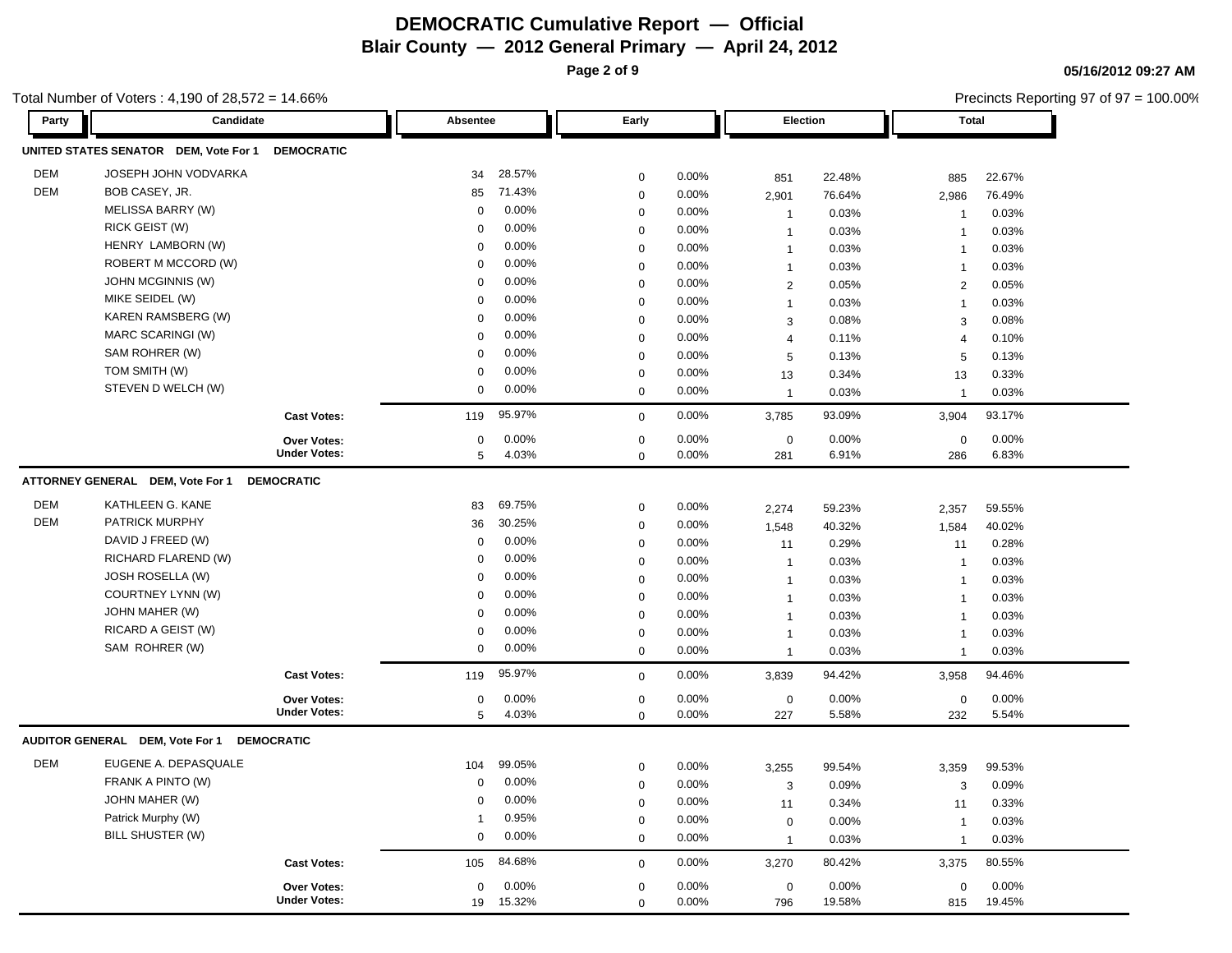**Page 2 of 9**

**05/16/2012 09:27 AM** Precincts Reporting 97 of 97 = 100.00%

| Party      | Candidate                                  |                                           | Absentee          |                 | Early                      |                |                    | Election        | <b>Total</b>       |                 |
|------------|--------------------------------------------|-------------------------------------------|-------------------|-----------------|----------------------------|----------------|--------------------|-----------------|--------------------|-----------------|
|            | UNITED STATES SENATOR DEM, Vote For 1      | <b>DEMOCRATIC</b>                         |                   |                 |                            |                |                    |                 |                    |                 |
| <b>DEM</b> | <b>JOSEPH JOHN VODVARKA</b>                |                                           | 34                | 28.57%          | $\mathbf 0$                | 0.00%          | 851                | 22.48%          | 885                | 22.67%          |
| <b>DEM</b> | BOB CASEY, JR.                             |                                           | 85                | 71.43%          | $\mathbf 0$                | 0.00%          | 2,901              | 76.64%          | 2,986              | 76.49%          |
|            | MELISSA BARRY (W)                          |                                           | $\mathbf 0$       | 0.00%           | $\mathbf 0$                | 0.00%          | $\overline{1}$     | 0.03%           | $\overline{1}$     | 0.03%           |
|            | RICK GEIST (W)                             |                                           | $\Omega$          | 0.00%           | $\mathbf 0$                | 0.00%          | $\overline{1}$     | 0.03%           | $\overline{1}$     | 0.03%           |
|            | HENRY LAMBORN (W)                          |                                           | $\mathbf 0$       | 0.00%           | $\pmb{0}$                  | 0.00%          | $\overline{1}$     | 0.03%           | $\overline{1}$     | 0.03%           |
|            | ROBERT M MCCORD (W)                        |                                           | $\mathbf 0$       | 0.00%           | $\mathbf 0$                | 0.00%          | $\overline{1}$     | 0.03%           | $\mathbf{1}$       | 0.03%           |
|            | <b>JOHN MCGINNIS (W)</b>                   |                                           | $\Omega$          | 0.00%           | $\mathbf 0$                | 0.00%          | $\overline{2}$     | 0.05%           | $\overline{2}$     | 0.05%           |
|            | MIKE SEIDEL (W)                            |                                           | $\Omega$          | 0.00%           | $\mathbf 0$                | 0.00%          | $\mathbf{1}$       | 0.03%           | $\mathbf{1}$       | 0.03%           |
|            | KAREN RAMSBERG (W)                         |                                           | $\mathbf 0$       | 0.00%           | $\mathbf 0$                | 0.00%          | 3                  | 0.08%           | 3                  | 0.08%           |
|            | MARC SCARINGI (W)                          |                                           | $\Omega$          | 0.00%           | $\mathbf 0$                | 0.00%          | $\overline{4}$     | 0.11%           | $\overline{4}$     | 0.10%           |
|            | SAM ROHRER (W)                             |                                           | $\Omega$          | 0.00%           | $\mathbf 0$                | 0.00%          | 5                  | 0.13%           | 5                  | 0.13%           |
|            | TOM SMITH (W)                              |                                           | $\pmb{0}$         | 0.00%           | $\mathbf 0$                | 0.00%          | 13                 | 0.34%           | 13                 | 0.33%           |
|            | STEVEN D WELCH (W)                         |                                           | 0                 | 0.00%           | $\mathbf 0$                | 0.00%          | $\overline{1}$     | 0.03%           | $\overline{1}$     | 0.03%           |
|            |                                            | <b>Cast Votes:</b>                        | 119               | 95.97%          | $\mathbf 0$                | 0.00%          | 3,785              | 93.09%          | 3,904              | 93.17%          |
|            |                                            | <b>Over Votes:</b>                        | $\mathbf 0$       | 0.00%           | $\mathbf 0$                | 0.00%          | $\mathbf 0$        | 0.00%           | $\mathbf 0$        | 0.00%           |
|            |                                            | <b>Under Votes:</b>                       | 5                 | 4.03%           | $\mathbf 0$                | 0.00%          | 281                | 6.91%           | 286                | 6.83%           |
|            | ATTORNEY GENERAL DEM, Vote For 1           | <b>DEMOCRATIC</b>                         |                   |                 |                            |                |                    |                 |                    |                 |
| <b>DEM</b> | KATHLEEN G. KANE                           |                                           | 83                | 69.75%          | $\pmb{0}$                  | 0.00%          | 2,274              | 59.23%          | 2,357              | 59.55%          |
| <b>DEM</b> | PATRICK MURPHY                             |                                           | 36                | 30.25%          | $\pmb{0}$                  | 0.00%          | 1,548              | 40.32%          | 1,584              | 40.02%          |
|            | DAVID J FREED (W)                          |                                           | $\Omega$          | 0.00%           | $\pmb{0}$                  | 0.00%          | 11                 | 0.29%           | 11                 | 0.28%           |
|            | RICHARD FLAREND (W)                        |                                           | $\mathbf 0$       | 0.00%           | $\mathbf 0$                | 0.00%          | $\overline{1}$     | 0.03%           | $\overline{1}$     | 0.03%           |
|            | <b>JOSH ROSELLA (W)</b>                    |                                           | $\Omega$          | 0.00%           | $\mathbf 0$                | 0.00%          | $\overline{1}$     | 0.03%           | $\mathbf{1}$       | 0.03%           |
|            | COURTNEY LYNN (W)                          |                                           | $\Omega$          | 0.00%           | $\mathbf 0$                | 0.00%          | $\mathbf{1}$       | 0.03%           | $\overline{1}$     | 0.03%           |
|            | JOHN MAHER (W)                             |                                           | $\Omega$          | 0.00%           | $\mathbf 0$                | 0.00%          | $\mathbf{1}$       | 0.03%           | $\overline{1}$     | 0.03%           |
|            | RICARD A GEIST (W)                         |                                           | $\Omega$          | 0.00%           | $\mathbf 0$                | 0.00%          | $\overline{1}$     | 0.03%           | $\mathbf{1}$       | 0.03%           |
|            | SAM ROHRER (W)                             |                                           | 0                 | 0.00%           | $\mathbf 0$                | 0.00%          | $\overline{1}$     | 0.03%           | $\overline{1}$     | 0.03%           |
|            |                                            | <b>Cast Votes:</b>                        | 119               | 95.97%          | $\mathbf 0$                | 0.00%          | 3,839              | 94.42%          | 3,958              | 94.46%          |
|            |                                            | <b>Over Votes:</b>                        | $\mathbf 0$       | 0.00%           | $\mathbf 0$                | 0.00%          | $\mathbf 0$        | 0.00%           | $\mathbf 0$        | 0.00%           |
|            |                                            | <b>Under Votes:</b>                       | 5                 | 4.03%           | $\mathbf 0$                | 0.00%          | 227                | 5.58%           | 232                | 5.54%           |
|            | AUDITOR GENERAL DEM, Vote For 1 DEMOCRATIC |                                           |                   |                 |                            |                |                    |                 |                    |                 |
| DEM        | EUGENE A. DEPASQUALE                       |                                           | 104               | 99.05%          | $\pmb{0}$                  | 0.00%          |                    | 99.54%          |                    | 99.53%          |
|            | FRANK A PINTO (W)                          |                                           | $\Omega$          | 0.00%           | $\pmb{0}$                  | 0.00%          | 3,255              | 0.09%           | 3,359              | 0.09%           |
|            | JOHN MAHER (W)                             |                                           | $\Omega$          | 0.00%           | $\mathbf 0$                | 0.00%          | 3<br>11            | 0.34%           | 3<br>11            | 0.33%           |
|            | Patrick Murphy (W)                         |                                           | $\mathbf{1}$      | 0.95%           | $\mathbf 0$                | 0.00%          | $\mathbf 0$        | 0.00%           | $\overline{1}$     | 0.03%           |
|            | <b>BILL SHUSTER (W)</b>                    |                                           | $\mathbf 0$       | 0.00%           | $\mathbf 0$                | 0.00%          | $\overline{1}$     | 0.03%           | $\mathbf{1}$       | 0.03%           |
|            |                                            | <b>Cast Votes:</b>                        | 105               | 84.68%          | $\mathbf 0$                | 0.00%          | 3,270              | 80.42%          | 3,375              | 80.55%          |
|            |                                            |                                           |                   |                 |                            |                |                    |                 |                    |                 |
|            |                                            | <b>Over Votes:</b><br><b>Under Votes:</b> | $\mathbf 0$<br>19 | 0.00%<br>15.32% | $\mathbf 0$<br>$\mathbf 0$ | 0.00%<br>0.00% | $\mathbf 0$<br>796 | 0.00%<br>19.58% | $\mathbf 0$<br>815 | 0.00%<br>19.45% |
|            |                                            |                                           |                   |                 |                            |                |                    |                 |                    |                 |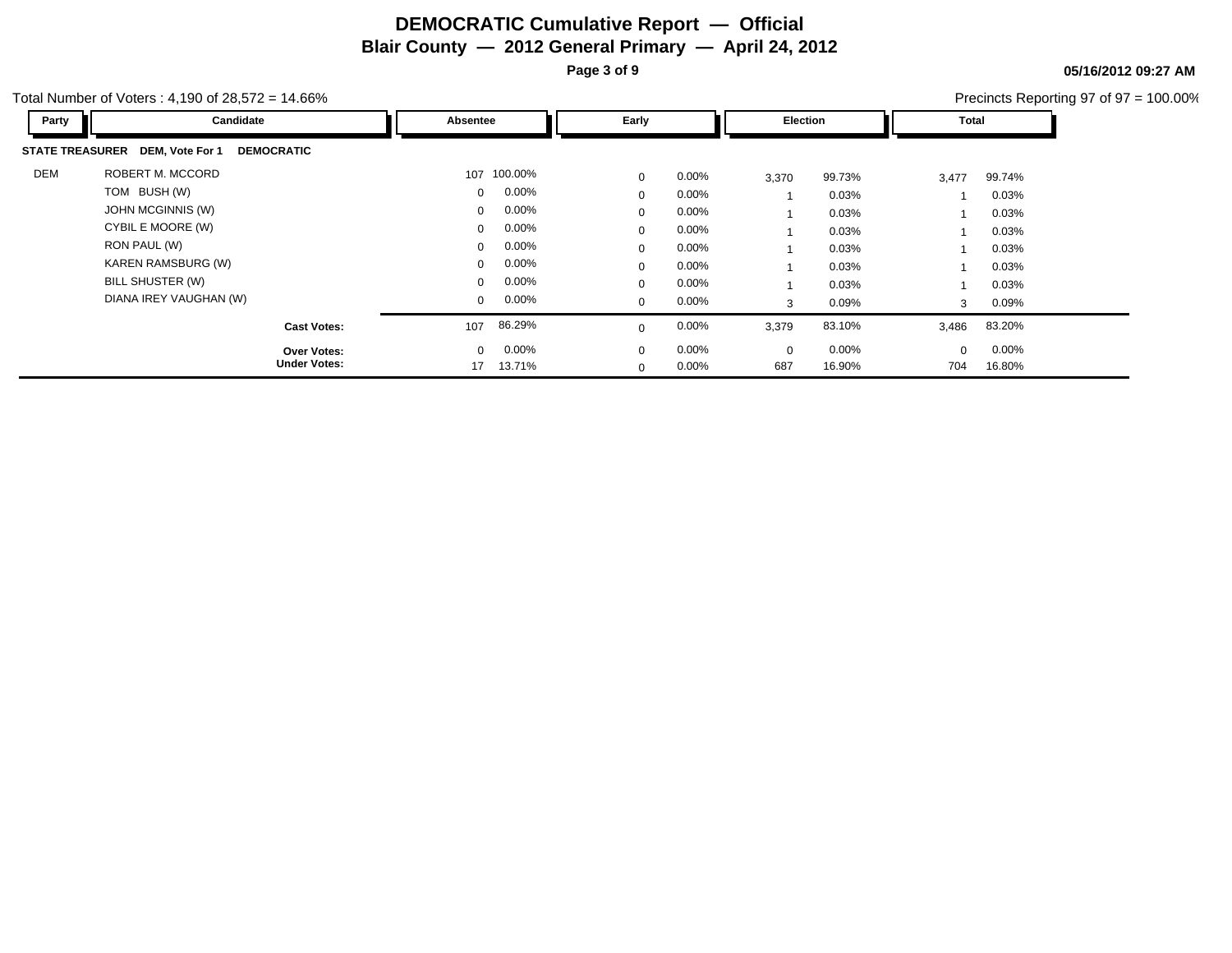**Page 3 of 9**

**05/16/2012 09:27 AM** Precincts Reporting 97 of 97 = 100.00%

| Party | Candidate                                            | Absentee     |          | Early        |          |             | Election | Total |          |
|-------|------------------------------------------------------|--------------|----------|--------------|----------|-------------|----------|-------|----------|
|       | STATE TREASURER DEM, Vote For 1<br><b>DEMOCRATIC</b> |              |          |              |          |             |          |       |          |
| DEM   | ROBERT M. MCCORD                                     | 107          | 100.00%  | $\mathbf 0$  | $0.00\%$ | 3,370       | 99.73%   | 3,477 | 99.74%   |
|       | TOM BUSH (W)                                         | $\Omega$     | $0.00\%$ | $\Omega$     | $0.00\%$ |             | 0.03%    |       | 0.03%    |
|       | JOHN MCGINNIS (W)                                    | $\mathbf{0}$ | $0.00\%$ | 0            | $0.00\%$ |             | 0.03%    |       | 0.03%    |
|       | CYBIL E MOORE (W)                                    | $\Omega$     | $0.00\%$ | 0            | $0.00\%$ |             | 0.03%    |       | 0.03%    |
|       | RON PAUL (W)                                         | $\Omega$     | $0.00\%$ | $\mathbf{0}$ | $0.00\%$ |             | 0.03%    |       | $0.03\%$ |
|       | KAREN RAMSBURG (W)                                   | $\mathbf{0}$ | $0.00\%$ | $\Omega$     | $0.00\%$ |             | 0.03%    |       | $0.03\%$ |
|       | BILL SHUSTER (W)                                     | $\Omega$     | $0.00\%$ | 0            | $0.00\%$ |             | 0.03%    |       | 0.03%    |
|       | DIANA IREY VAUGHAN (W)                               | $\mathbf{0}$ | $0.00\%$ | $\mathbf{0}$ | $0.00\%$ | 3           | 0.09%    | 3     | $0.09\%$ |
|       | <b>Cast Votes:</b>                                   | 107          | 86.29%   | $\Omega$     | $0.00\%$ | 3,379       | 83.10%   | 3,486 | 83.20%   |
|       | <b>Over Votes:</b>                                   | $\mathbf{0}$ | $0.00\%$ | $\mathbf 0$  | $0.00\%$ | $\mathbf 0$ | 0.00%    |       | $0.00\%$ |
|       | <b>Under Votes:</b>                                  | 17           | 13.71%   | $\mathbf{0}$ | $0.00\%$ | 687         | 16.90%   | 704   | 16.80%   |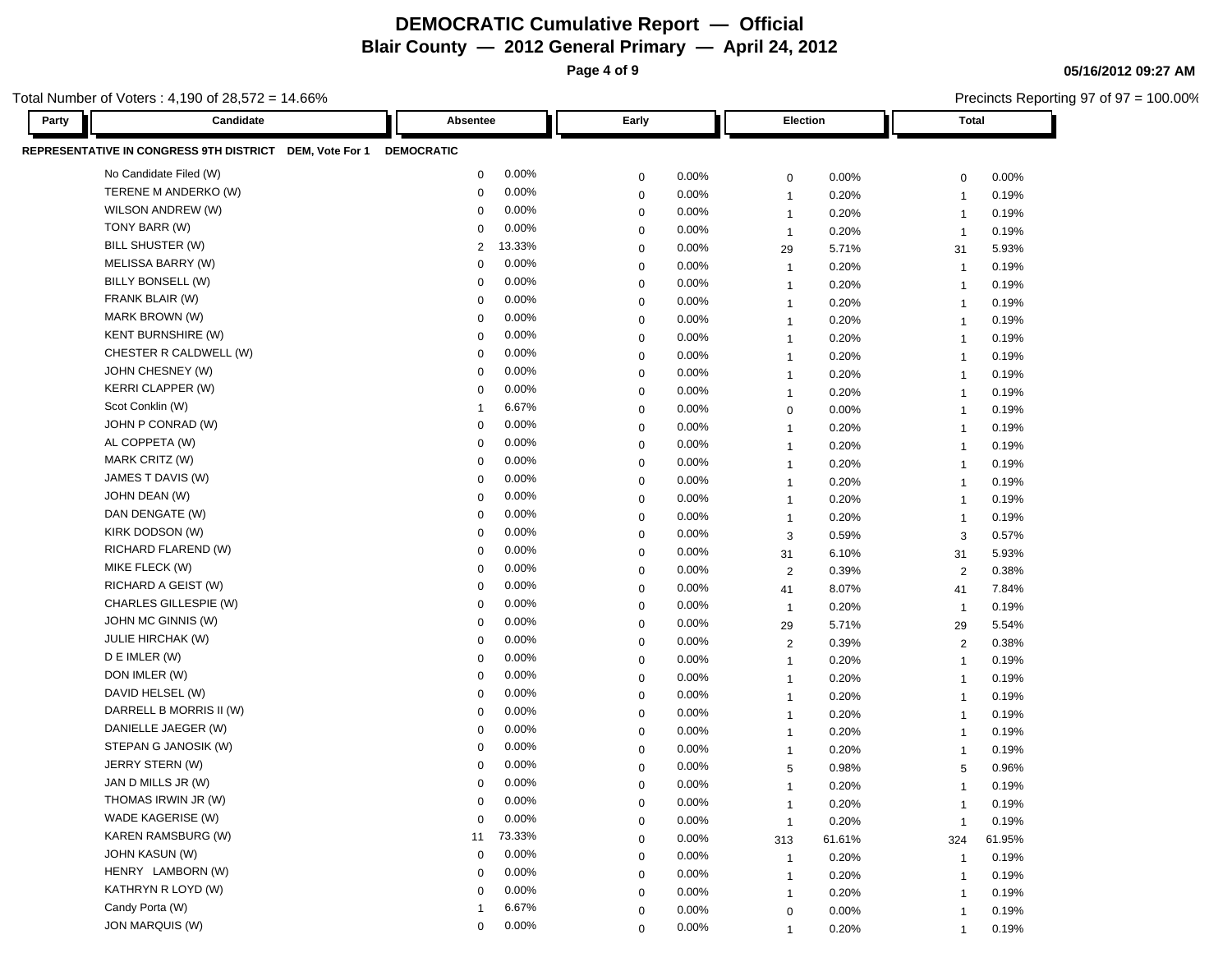**Page 4 of 9**

**05/16/2012 09:27 AM**

| otal Number of Voters: 4,190 of 28,572 = 14.66% |                                                         |                   |        |             |       |                |          | Precincts Reporting 97 of 97 = 100.00% |        |  |
|-------------------------------------------------|---------------------------------------------------------|-------------------|--------|-------------|-------|----------------|----------|----------------------------------------|--------|--|
| Party                                           | Candidate                                               | Absentee          |        | Early       |       |                | Election | <b>Total</b>                           |        |  |
|                                                 | REPRESENTATIVE IN CONGRESS 9TH DISTRICT DEM, Vote For 1 | <b>DEMOCRATIC</b> |        |             |       |                |          |                                        |        |  |
|                                                 | No Candidate Filed (W)                                  | 0                 | 0.00%  | $\mathbf 0$ | 0.00% | $\mathbf 0$    | 0.00%    | $\mathbf 0$                            | 0.00%  |  |
|                                                 | TERENE M ANDERKO (W)                                    | 0                 | 0.00%  | $\mathbf 0$ | 0.00% | $\overline{1}$ | 0.20%    | -1                                     | 0.19%  |  |
|                                                 | WILSON ANDREW (W)                                       | 0                 | 0.00%  | 0           | 0.00% | $\overline{1}$ | 0.20%    | $\overline{\mathbf{1}}$                | 0.19%  |  |
| TONY BARR (W)                                   |                                                         | 0                 | 0.00%  | 0           | 0.00% | $\overline{1}$ | 0.20%    | $\overline{1}$                         | 0.19%  |  |
|                                                 | <b>BILL SHUSTER (W)</b>                                 | 2                 | 13.33% | 0           | 0.00% | 29             | 5.71%    | 31                                     | 5.93%  |  |
|                                                 | MELISSA BARRY (W)                                       | $\mathbf 0$       | 0.00%  | 0           | 0.00% | $\mathbf{1}$   | 0.20%    | $\overline{1}$                         | 0.19%  |  |
|                                                 | BILLY BONSELL (W)                                       | $\mathbf 0$       | 0.00%  | $\mathbf 0$ | 0.00% | $\overline{1}$ | 0.20%    | $\mathbf{1}$                           | 0.19%  |  |
|                                                 | FRANK BLAIR (W)                                         | 0                 | 0.00%  | $\mathbf 0$ | 0.00% | $\overline{1}$ | 0.20%    | $\mathbf{1}$                           | 0.19%  |  |
|                                                 | MARK BROWN (W)                                          | $\mathbf 0$       | 0.00%  | $\mathbf 0$ | 0.00% | $\overline{1}$ | 0.20%    | -1                                     | 0.19%  |  |
|                                                 | <b>KENT BURNSHIRE (W)</b>                               | $\mathbf 0$       | 0.00%  | 0           | 0.00% | $\mathbf{1}$   | 0.20%    | $\overline{\mathbf{1}}$                | 0.19%  |  |
|                                                 | CHESTER R CALDWELL (W)                                  | 0                 | 0.00%  | $\mathbf 0$ | 0.00% | $\overline{1}$ | 0.20%    | $\overline{1}$                         | 0.19%  |  |
|                                                 | JOHN CHESNEY (W)                                        | $\mathbf 0$       | 0.00%  | $\mathbf 0$ | 0.00% | $\overline{1}$ | 0.20%    | $\overline{1}$                         | 0.19%  |  |
|                                                 | KERRI CLAPPER (W)                                       | $\mathbf 0$       | 0.00%  | $\mathbf 0$ | 0.00% | $\overline{1}$ | 0.20%    | $\overline{1}$                         | 0.19%  |  |
| Scot Conklin (W)                                |                                                         | -1                | 6.67%  | $\mathbf 0$ | 0.00% | $\mathbf 0$    | 0.00%    | $\overline{1}$                         | 0.19%  |  |
|                                                 | JOHN P CONRAD (W)                                       | 0                 | 0.00%  | 0           | 0.00% | $\overline{1}$ | 0.20%    | $\overline{\mathbf{1}}$                | 0.19%  |  |
|                                                 | AL COPPETA (W)                                          | 0                 | 0.00%  | 0           | 0.00% | $\overline{1}$ | 0.20%    | $\overline{1}$                         | 0.19%  |  |
| MARK CRITZ (W)                                  |                                                         | 0                 | 0.00%  | 0           | 0.00% | $\mathbf{1}$   | 0.20%    | $\overline{1}$                         | 0.19%  |  |
|                                                 | JAMES T DAVIS (W)                                       | 0                 | 0.00%  | 0           | 0.00% | $\mathbf{1}$   | 0.20%    | $\overline{1}$                         | 0.19%  |  |
| JOHN DEAN (W)                                   |                                                         | $\mathbf 0$       | 0.00%  | 0           | 0.00% | $\mathbf{1}$   | 0.20%    | $\overline{1}$                         | 0.19%  |  |
|                                                 | DAN DENGATE (W)                                         | 0                 | 0.00%  | $\mathbf 0$ | 0.00% | $\overline{1}$ | 0.20%    | -1                                     | 0.19%  |  |
|                                                 | KIRK DODSON (W)                                         | 0                 | 0.00%  | $\mathbf 0$ | 0.00% | 3              | 0.59%    | 3                                      | 0.57%  |  |
|                                                 | RICHARD FLAREND (W)                                     | $\Omega$          | 0.00%  | 0           | 0.00% | 31             | 6.10%    | 31                                     | 5.93%  |  |
| MIKE FLECK (W)                                  |                                                         | 0                 | 0.00%  | $\mathbf 0$ | 0.00% | $\overline{2}$ | 0.39%    | 2                                      | 0.38%  |  |
|                                                 | RICHARD A GEIST (W)                                     | $\mathbf 0$       | 0.00%  | $\mathbf 0$ | 0.00% | 41             | 8.07%    | 41                                     | 7.84%  |  |
|                                                 | CHARLES GILLESPIE (W)                                   | $\Omega$          | 0.00%  | $\mathbf 0$ | 0.00% | $\overline{1}$ | 0.20%    | $\overline{1}$                         | 0.19%  |  |
|                                                 | JOHN MC GINNIS (W)                                      | 0                 | 0.00%  | $\mathbf 0$ | 0.00% | 29             | 5.71%    | 29                                     | 5.54%  |  |
|                                                 | <b>JULIE HIRCHAK (W)</b>                                | 0                 | 0.00%  | 0           | 0.00% | $\overline{2}$ | 0.39%    | 2                                      | 0.38%  |  |
| D E IMLER (W)                                   |                                                         | 0                 | 0.00%  | 0           | 0.00% | $\overline{1}$ | 0.20%    | $\overline{1}$                         | 0.19%  |  |
| DON IMLER (W)                                   |                                                         | 0                 | 0.00%  | 0           | 0.00% | $\mathbf{1}$   | 0.20%    | $\overline{1}$                         | 0.19%  |  |
|                                                 | DAVID HELSEL (W)                                        | $\mathbf 0$       | 0.00%  | 0           | 0.00% | $\overline{1}$ | 0.20%    | $\overline{1}$                         | 0.19%  |  |
|                                                 | DARRELL B MORRIS II (W)                                 | 0                 | 0.00%  | $\mathbf 0$ | 0.00% | $\overline{1}$ | 0.20%    | $\overline{1}$                         | 0.19%  |  |
|                                                 | DANIELLE JAEGER (W)                                     | 0                 | 0.00%  | $\mathbf 0$ | 0.00% | $\overline{1}$ | 0.20%    | $\overline{1}$                         | 0.19%  |  |
|                                                 | STEPAN G JANOSIK (W)                                    | $\Omega$          | 0.00%  | $\Omega$    | 0.00% | $\overline{1}$ | 0.20%    | -1                                     | 0.19%  |  |
|                                                 | JERRY STERN (W)                                         | $\Omega$          | 0.00%  | $\mathbf 0$ | 0.00% | 5              | 0.98%    | 5                                      | 0.96%  |  |
|                                                 | JAN D MILLS JR (W)                                      | 0                 | 0.00%  | $\Omega$    | 0.00% |                | 0.20%    |                                        | 0.19%  |  |
|                                                 | THOMAS IRWIN JR (W)                                     | $\mathbf 0$       | 0.00%  | 0           | 0.00% | $\overline{1}$ | 0.20%    | $\overline{\mathbf{1}}$                | 0.19%  |  |
|                                                 | WADE KAGERISE (W)                                       | $\Omega$          | 0.00%  | $\mathbf 0$ | 0.00% | $\overline{1}$ | 0.20%    | -1                                     | 0.19%  |  |
|                                                 | <b>KAREN RAMSBURG (W)</b>                               | 11                | 73.33% | $\mathbf 0$ | 0.00% | 313            | 61.61%   | 324                                    | 61.95% |  |
|                                                 | JOHN KASUN (W)                                          | 0                 | 0.00%  | 0           | 0.00% | $\overline{1}$ | 0.20%    | -1                                     | 0.19%  |  |
|                                                 | HENRY LAMBORN (W)                                       | 0                 | 0.00%  | 0           | 0.00% | $\mathbf{1}$   | 0.20%    | -1                                     | 0.19%  |  |
|                                                 | KATHRYN R LOYD (W)                                      | 0                 | 0.00%  | 0           | 0.00% | $\mathbf{1}$   | 0.20%    | $\overline{1}$                         | 0.19%  |  |
| Candy Porta (W)                                 |                                                         | -1                | 6.67%  | 0           | 0.00% | 0              | 0.00%    | $\mathbf 1$                            | 0.19%  |  |
|                                                 | <b>JON MARQUIS (W)</b>                                  | $\Omega$          | 0.00%  | 0           | 0.00% | $\mathbf{1}$   | 0.20%    | $\overline{1}$                         | 0.19%  |  |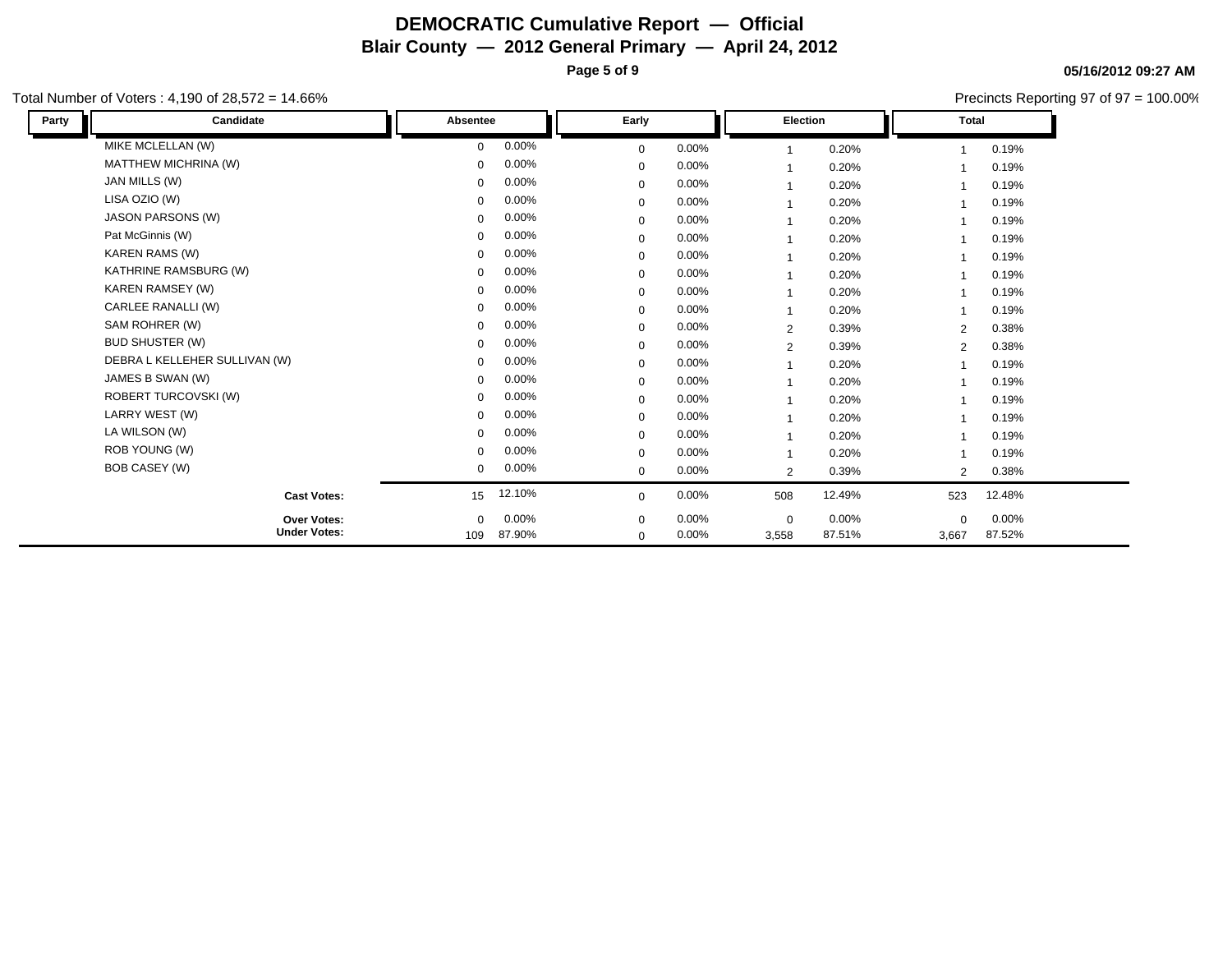**Page 5 of 9**

**05/16/2012 09:27 AM**

|       | Total Number of Voters : 4,190 of 28,572 = 14.66% |              |        |              |       |             |        |                | Precincts Reporting 97 of 97 = 100.00% |
|-------|---------------------------------------------------|--------------|--------|--------------|-------|-------------|--------|----------------|----------------------------------------|
| Party | Candidate                                         | Absentee     |        | Early        |       | Election    |        | <b>Total</b>   |                                        |
|       | MIKE MCLELLAN (W)                                 | $\mathbf{0}$ | 0.00%  | $\mathbf 0$  | 0.00% |             | 0.20%  |                | 0.19%                                  |
|       | <b>MATTHEW MICHRINA (W)</b>                       | 0            | 0.00%  | $\mathbf 0$  | 0.00% |             | 0.20%  |                | 0.19%                                  |
|       | JAN MILLS (W)                                     | 0            | 0.00%  | $\mathbf 0$  | 0.00% |             | 0.20%  |                | 0.19%                                  |
|       | LISA OZIO (W)                                     | 0            | 0.00%  | $\mathbf 0$  | 0.00% |             | 0.20%  | 1              | 0.19%                                  |
|       | <b>JASON PARSONS (W)</b>                          | 0            | 0.00%  | $\mathbf 0$  | 0.00% |             | 0.20%  |                | 0.19%                                  |
|       | Pat McGinnis (W)                                  | 0            | 0.00%  | $\mathbf 0$  | 0.00% |             | 0.20%  |                | 0.19%                                  |
|       | <b>KAREN RAMS (W)</b>                             | 0            | 0.00%  | $\mathbf 0$  | 0.00% |             | 0.20%  |                | 0.19%                                  |
|       | KATHRINE RAMSBURG (W)                             | 0            | 0.00%  | $\mathbf 0$  | 0.00% |             | 0.20%  |                | 0.19%                                  |
|       | KAREN RAMSEY (W)                                  | 0            | 0.00%  | $\mathbf 0$  | 0.00% |             | 0.20%  |                | 0.19%                                  |
|       | CARLEE RANALLI (W)                                | $\Omega$     | 0.00%  | $\mathbf 0$  | 0.00% |             | 0.20%  |                | 0.19%                                  |
|       | SAM ROHRER (W)                                    | $\Omega$     | 0.00%  | $\mathbf 0$  | 0.00% | 2           | 0.39%  | $\overline{2}$ | 0.38%                                  |
|       | <b>BUD SHUSTER (W)</b>                            | $\Omega$     | 0.00%  | $\mathbf 0$  | 0.00% | 2           | 0.39%  | $\overline{2}$ | 0.38%                                  |
|       | DEBRA L KELLEHER SULLIVAN (W)                     | 0            | 0.00%  | $\mathbf 0$  | 0.00% |             | 0.20%  |                | 0.19%                                  |
|       | JAMES B SWAN (W)                                  | $\Omega$     | 0.00%  | $\mathbf 0$  | 0.00% |             | 0.20%  |                | 0.19%                                  |
|       | <b>ROBERT TURCOVSKI (W)</b>                       | 0            | 0.00%  | $\mathbf 0$  | 0.00% |             | 0.20%  |                | 0.19%                                  |
|       | LARRY WEST (W)                                    | 0            | 0.00%  | $\mathbf 0$  | 0.00% |             | 0.20%  |                | 0.19%                                  |
|       | LA WILSON (W)                                     | 0            | 0.00%  | $\mathbf 0$  | 0.00% |             | 0.20%  | 1              | 0.19%                                  |
|       | ROB YOUNG (W)                                     | 0            | 0.00%  | $\mathbf 0$  | 0.00% |             | 0.20%  |                | 0.19%                                  |
|       | BOB CASEY (W)                                     | 0            | 0.00%  | $\mathbf{0}$ | 0.00% | 2           | 0.39%  | 2              | 0.38%                                  |
|       | <b>Cast Votes:</b>                                | 15           | 12.10% | $\Omega$     | 0.00% | 508         | 12.49% | 523            | 12.48%                                 |
|       | <b>Over Votes:</b>                                | 0            | 0.00%  | $\mathbf 0$  | 0.00% | $\mathbf 0$ | 0.00%  | $\mathbf 0$    | 0.00%                                  |
|       | <b>Under Votes:</b>                               | 109          | 87.90% | $\mathbf 0$  | 0.00% | 3,558       | 87.51% | 3,667          | 87.52%                                 |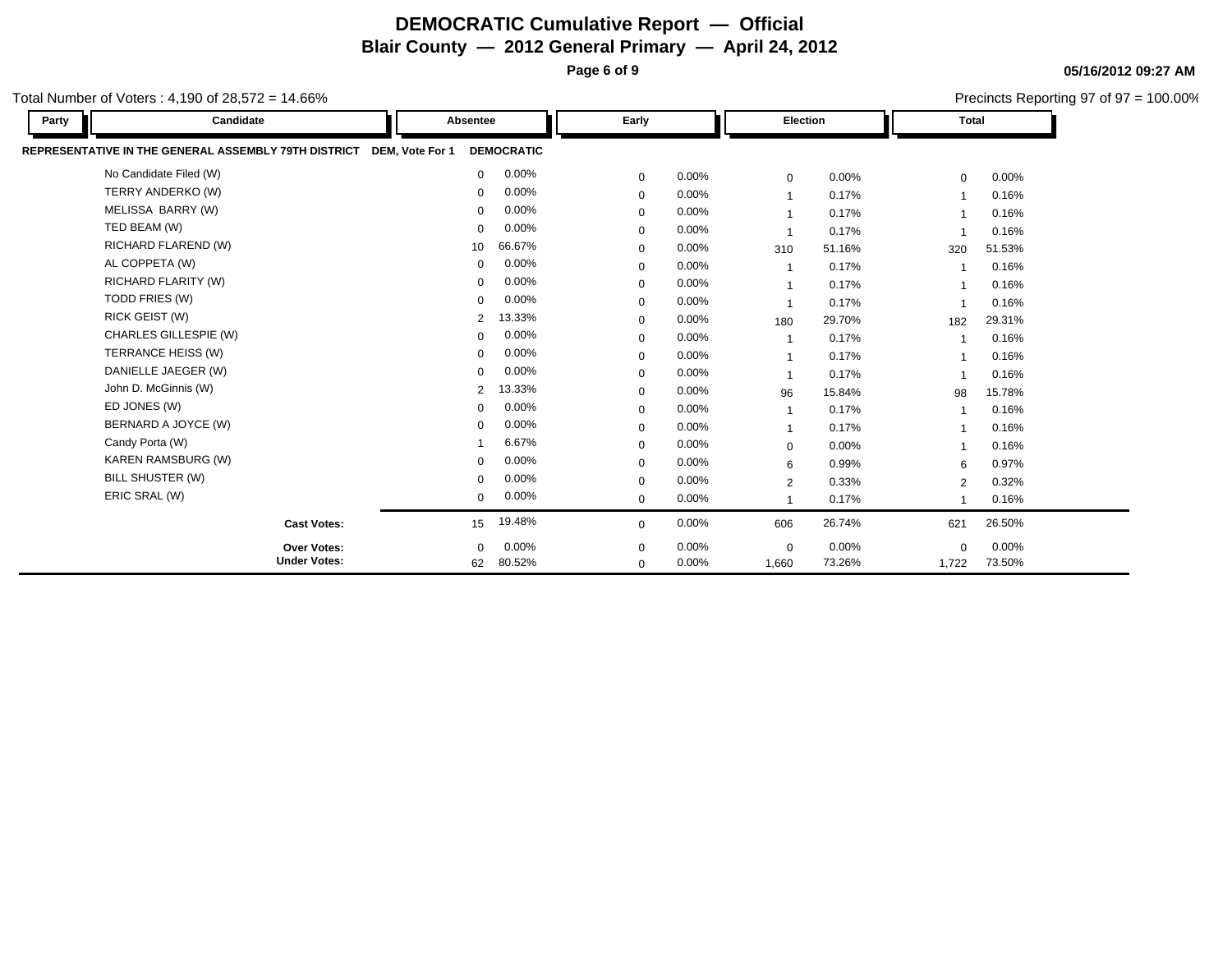**Page 6 of 9**

**05/16/2012 09:27 AM**

| otal Number of Voters: 4,190 of 28,572 = 14.66%<br>Candidate<br><b>Total</b><br>Early<br><b>Election</b><br>Party<br>Absentee<br>REPRESENTATIVE IN THE GENERAL ASSEMBLY 79TH DISTRICT<br>DEM, Vote For 1<br><b>DEMOCRATIC</b><br>No Candidate Filed (W)<br>0.00%<br>$\mathbf{0}$<br>0.00%<br>$\mathbf 0$<br>$0.00\%$<br>$\mathbf 0$<br>$\mathbf 0$<br>TERRY ANDERKO (W)<br>0.00%<br>0.00%<br>0<br>0.17%<br>$\mathbf 0$<br>$\overline{1}$<br>MELISSA BARRY (W)<br>0.00%<br>$\Omega$<br>0.00%<br>$\mathbf 0$<br>0.17%<br>TED BEAM (W)<br>0.00%<br>$\Omega$<br>0.00%<br>0.17%<br>$\mathbf 0$<br>$\overline{\mathbf{1}}$<br>RICHARD FLAREND (W)<br>66.67%<br>10<br>0.00%<br>51.16%<br>$\mathbf 0$<br>310<br>320<br>AL COPPETA (W)<br>0.00%<br>$\mathbf 0$<br>0.00%<br>$\Omega$<br>0.17%<br>$\overline{1}$<br>RICHARD FLARITY (W)<br>0.00%<br>$\Omega$<br>0.00%<br>0.17%<br>$\mathbf 0$<br>$\overline{1}$<br>TODD FRIES (W)<br>0.00%<br>$\Omega$<br>0.00%<br>0.17%<br>$\mathbf 0$<br>$\overline{1}$<br>RICK GEIST (W)<br>13.33%<br>2<br>0.00%<br>29.70%<br>$\mathbf 0$<br>180<br>182<br>CHARLES GILLESPIE (W)<br>0.00%<br>$\Omega$<br>0.00%<br>0.17%<br>$\mathbf 0$<br>-1<br>TERRANCE HEISS (W)<br>0.00%<br>$\Omega$<br>0.00%<br>0<br>0.17%<br>$\overline{1}$<br>DANIELLE JAEGER (W)<br>0.00%<br>$\Omega$<br>0.00%<br>0.17%<br>$\mathbf 0$<br>$\overline{1}$<br>John D. McGinnis (W)<br>13.33%<br>$\overline{2}$<br>0.00%<br>$\mathbf 0$<br>15.84%<br>96<br>98<br>ED JONES (W)<br>0.00%<br>$\Omega$<br>0.00%<br>0.17%<br>$\mathbf 0$<br>$\overline{1}$<br>BERNARD A JOYCE (W)<br>0.00%<br>$\Omega$<br>0.00%<br>0.17%<br>0<br>$\overline{1}$<br>Candy Porta (W)<br>6.67%<br>0.00%<br>0.00%<br>$\mathbf 0$<br>$\mathbf 0$<br>KAREN RAMSBURG (W)<br>0.00%<br>0.00%<br>$\Omega$<br>0.99%<br>$\mathbf 0$<br>6<br>6<br>BILL SHUSTER (W)<br>0.00%<br>$\mathbf 0$<br>0.00%<br>$\mathbf 0$<br>0.33%<br>$\overline{2}$<br>$\overline{2}$<br>ERIC SRAL (W)<br>0.00%<br>$\mathbf{0}$<br>0.00%<br>$\mathbf{0}$<br>0.17%<br>$\mathbf{1}$<br>19.48%<br>0.00%<br>26.74%<br><b>Cast Votes:</b><br>15<br>606<br>621<br>$\mathbf 0$ |                     | Precincts Reporting 97 of 97 = 100.00% |              |       |             |        |             |          |  |
|-------------------------------------------------------------------------------------------------------------------------------------------------------------------------------------------------------------------------------------------------------------------------------------------------------------------------------------------------------------------------------------------------------------------------------------------------------------------------------------------------------------------------------------------------------------------------------------------------------------------------------------------------------------------------------------------------------------------------------------------------------------------------------------------------------------------------------------------------------------------------------------------------------------------------------------------------------------------------------------------------------------------------------------------------------------------------------------------------------------------------------------------------------------------------------------------------------------------------------------------------------------------------------------------------------------------------------------------------------------------------------------------------------------------------------------------------------------------------------------------------------------------------------------------------------------------------------------------------------------------------------------------------------------------------------------------------------------------------------------------------------------------------------------------------------------------------------------------------------------------------------------------------------------------------------------------------------------------------------------------------------------------------------------------------------------------------------------------------------------|---------------------|----------------------------------------|--------------|-------|-------------|--------|-------------|----------|--|
|                                                                                                                                                                                                                                                                                                                                                                                                                                                                                                                                                                                                                                                                                                                                                                                                                                                                                                                                                                                                                                                                                                                                                                                                                                                                                                                                                                                                                                                                                                                                                                                                                                                                                                                                                                                                                                                                                                                                                                                                                                                                                                             |                     |                                        |              |       |             |        |             |          |  |
|                                                                                                                                                                                                                                                                                                                                                                                                                                                                                                                                                                                                                                                                                                                                                                                                                                                                                                                                                                                                                                                                                                                                                                                                                                                                                                                                                                                                                                                                                                                                                                                                                                                                                                                                                                                                                                                                                                                                                                                                                                                                                                             |                     |                                        |              |       |             |        |             |          |  |
|                                                                                                                                                                                                                                                                                                                                                                                                                                                                                                                                                                                                                                                                                                                                                                                                                                                                                                                                                                                                                                                                                                                                                                                                                                                                                                                                                                                                                                                                                                                                                                                                                                                                                                                                                                                                                                                                                                                                                                                                                                                                                                             |                     |                                        |              |       |             |        |             | $0.00\%$ |  |
|                                                                                                                                                                                                                                                                                                                                                                                                                                                                                                                                                                                                                                                                                                                                                                                                                                                                                                                                                                                                                                                                                                                                                                                                                                                                                                                                                                                                                                                                                                                                                                                                                                                                                                                                                                                                                                                                                                                                                                                                                                                                                                             |                     |                                        |              |       |             |        |             | 0.16%    |  |
|                                                                                                                                                                                                                                                                                                                                                                                                                                                                                                                                                                                                                                                                                                                                                                                                                                                                                                                                                                                                                                                                                                                                                                                                                                                                                                                                                                                                                                                                                                                                                                                                                                                                                                                                                                                                                                                                                                                                                                                                                                                                                                             |                     |                                        |              |       |             |        |             | 0.16%    |  |
|                                                                                                                                                                                                                                                                                                                                                                                                                                                                                                                                                                                                                                                                                                                                                                                                                                                                                                                                                                                                                                                                                                                                                                                                                                                                                                                                                                                                                                                                                                                                                                                                                                                                                                                                                                                                                                                                                                                                                                                                                                                                                                             |                     |                                        |              |       |             |        |             | 0.16%    |  |
|                                                                                                                                                                                                                                                                                                                                                                                                                                                                                                                                                                                                                                                                                                                                                                                                                                                                                                                                                                                                                                                                                                                                                                                                                                                                                                                                                                                                                                                                                                                                                                                                                                                                                                                                                                                                                                                                                                                                                                                                                                                                                                             |                     |                                        |              |       |             |        |             | 51.53%   |  |
|                                                                                                                                                                                                                                                                                                                                                                                                                                                                                                                                                                                                                                                                                                                                                                                                                                                                                                                                                                                                                                                                                                                                                                                                                                                                                                                                                                                                                                                                                                                                                                                                                                                                                                                                                                                                                                                                                                                                                                                                                                                                                                             |                     |                                        |              |       |             |        |             | 0.16%    |  |
|                                                                                                                                                                                                                                                                                                                                                                                                                                                                                                                                                                                                                                                                                                                                                                                                                                                                                                                                                                                                                                                                                                                                                                                                                                                                                                                                                                                                                                                                                                                                                                                                                                                                                                                                                                                                                                                                                                                                                                                                                                                                                                             |                     |                                        |              |       |             |        |             | 0.16%    |  |
|                                                                                                                                                                                                                                                                                                                                                                                                                                                                                                                                                                                                                                                                                                                                                                                                                                                                                                                                                                                                                                                                                                                                                                                                                                                                                                                                                                                                                                                                                                                                                                                                                                                                                                                                                                                                                                                                                                                                                                                                                                                                                                             |                     |                                        |              |       |             |        |             | 0.16%    |  |
|                                                                                                                                                                                                                                                                                                                                                                                                                                                                                                                                                                                                                                                                                                                                                                                                                                                                                                                                                                                                                                                                                                                                                                                                                                                                                                                                                                                                                                                                                                                                                                                                                                                                                                                                                                                                                                                                                                                                                                                                                                                                                                             |                     |                                        |              |       |             |        |             | 29.31%   |  |
|                                                                                                                                                                                                                                                                                                                                                                                                                                                                                                                                                                                                                                                                                                                                                                                                                                                                                                                                                                                                                                                                                                                                                                                                                                                                                                                                                                                                                                                                                                                                                                                                                                                                                                                                                                                                                                                                                                                                                                                                                                                                                                             |                     |                                        |              |       |             |        |             | 0.16%    |  |
|                                                                                                                                                                                                                                                                                                                                                                                                                                                                                                                                                                                                                                                                                                                                                                                                                                                                                                                                                                                                                                                                                                                                                                                                                                                                                                                                                                                                                                                                                                                                                                                                                                                                                                                                                                                                                                                                                                                                                                                                                                                                                                             |                     |                                        |              |       |             |        |             | 0.16%    |  |
|                                                                                                                                                                                                                                                                                                                                                                                                                                                                                                                                                                                                                                                                                                                                                                                                                                                                                                                                                                                                                                                                                                                                                                                                                                                                                                                                                                                                                                                                                                                                                                                                                                                                                                                                                                                                                                                                                                                                                                                                                                                                                                             |                     |                                        |              |       |             |        |             | 0.16%    |  |
|                                                                                                                                                                                                                                                                                                                                                                                                                                                                                                                                                                                                                                                                                                                                                                                                                                                                                                                                                                                                                                                                                                                                                                                                                                                                                                                                                                                                                                                                                                                                                                                                                                                                                                                                                                                                                                                                                                                                                                                                                                                                                                             |                     |                                        |              |       |             |        |             | 15.78%   |  |
|                                                                                                                                                                                                                                                                                                                                                                                                                                                                                                                                                                                                                                                                                                                                                                                                                                                                                                                                                                                                                                                                                                                                                                                                                                                                                                                                                                                                                                                                                                                                                                                                                                                                                                                                                                                                                                                                                                                                                                                                                                                                                                             |                     |                                        |              |       |             |        |             | 0.16%    |  |
|                                                                                                                                                                                                                                                                                                                                                                                                                                                                                                                                                                                                                                                                                                                                                                                                                                                                                                                                                                                                                                                                                                                                                                                                                                                                                                                                                                                                                                                                                                                                                                                                                                                                                                                                                                                                                                                                                                                                                                                                                                                                                                             |                     |                                        |              |       |             |        |             | 0.16%    |  |
|                                                                                                                                                                                                                                                                                                                                                                                                                                                                                                                                                                                                                                                                                                                                                                                                                                                                                                                                                                                                                                                                                                                                                                                                                                                                                                                                                                                                                                                                                                                                                                                                                                                                                                                                                                                                                                                                                                                                                                                                                                                                                                             |                     |                                        |              |       |             |        |             | 0.16%    |  |
|                                                                                                                                                                                                                                                                                                                                                                                                                                                                                                                                                                                                                                                                                                                                                                                                                                                                                                                                                                                                                                                                                                                                                                                                                                                                                                                                                                                                                                                                                                                                                                                                                                                                                                                                                                                                                                                                                                                                                                                                                                                                                                             |                     |                                        |              |       |             |        |             | 0.97%    |  |
|                                                                                                                                                                                                                                                                                                                                                                                                                                                                                                                                                                                                                                                                                                                                                                                                                                                                                                                                                                                                                                                                                                                                                                                                                                                                                                                                                                                                                                                                                                                                                                                                                                                                                                                                                                                                                                                                                                                                                                                                                                                                                                             |                     |                                        |              |       |             |        |             | 0.32%    |  |
|                                                                                                                                                                                                                                                                                                                                                                                                                                                                                                                                                                                                                                                                                                                                                                                                                                                                                                                                                                                                                                                                                                                                                                                                                                                                                                                                                                                                                                                                                                                                                                                                                                                                                                                                                                                                                                                                                                                                                                                                                                                                                                             |                     |                                        |              |       |             |        |             | 0.16%    |  |
|                                                                                                                                                                                                                                                                                                                                                                                                                                                                                                                                                                                                                                                                                                                                                                                                                                                                                                                                                                                                                                                                                                                                                                                                                                                                                                                                                                                                                                                                                                                                                                                                                                                                                                                                                                                                                                                                                                                                                                                                                                                                                                             |                     |                                        |              |       |             |        |             | 26.50%   |  |
|                                                                                                                                                                                                                                                                                                                                                                                                                                                                                                                                                                                                                                                                                                                                                                                                                                                                                                                                                                                                                                                                                                                                                                                                                                                                                                                                                                                                                                                                                                                                                                                                                                                                                                                                                                                                                                                                                                                                                                                                                                                                                                             | Over Votes:         | 0.00%<br>0                             | 0            | 0.00% | $\mathbf 0$ | 0.00%  | $\mathbf 0$ | 0.00%    |  |
|                                                                                                                                                                                                                                                                                                                                                                                                                                                                                                                                                                                                                                                                                                                                                                                                                                                                                                                                                                                                                                                                                                                                                                                                                                                                                                                                                                                                                                                                                                                                                                                                                                                                                                                                                                                                                                                                                                                                                                                                                                                                                                             | <b>Under Votes:</b> | 80.52%<br>62                           | $\mathbf{0}$ | 0.00% | 1,660       | 73.26% | 1,722       | 73.50%   |  |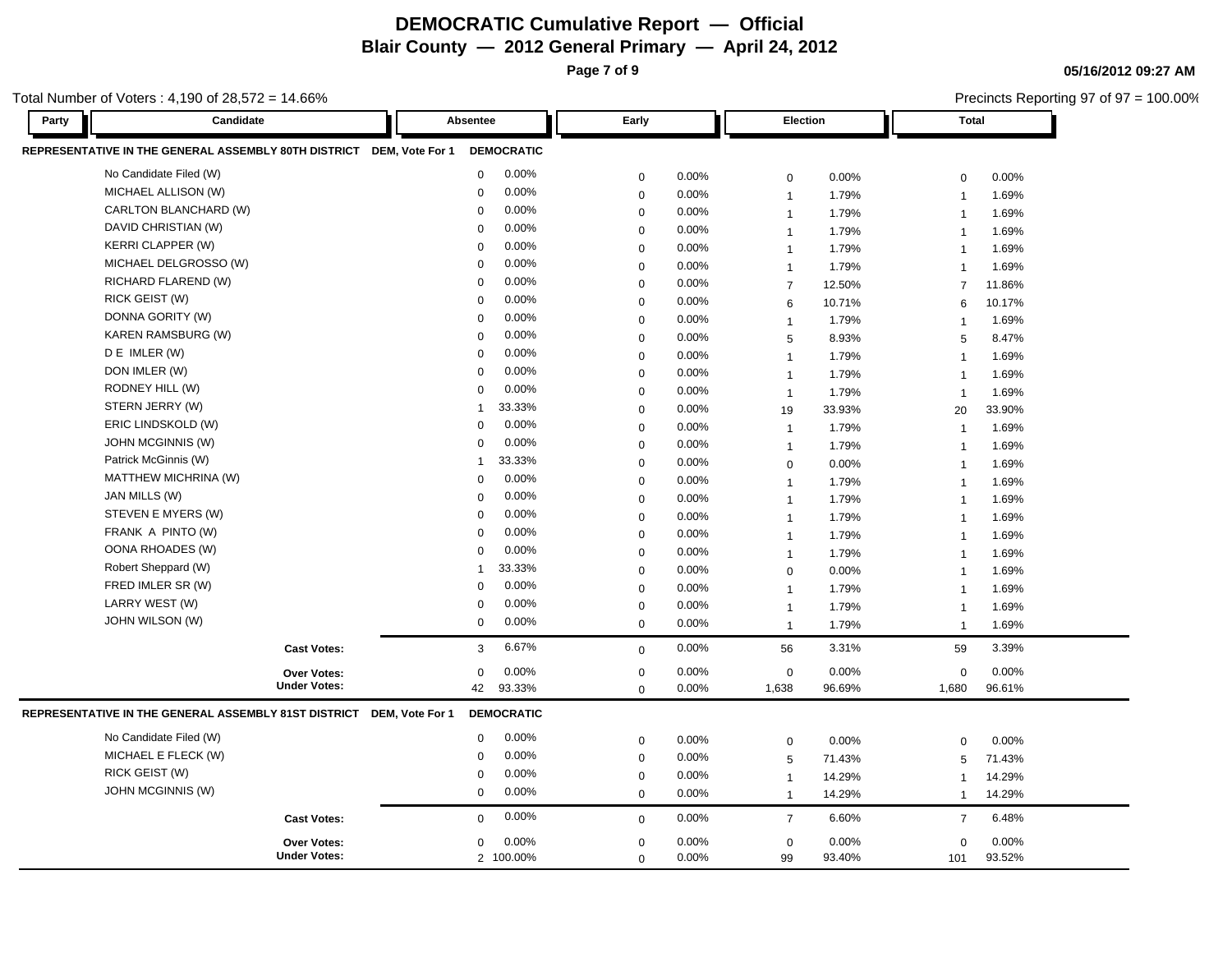**Page 7 of 9**

**05/16/2012 09:27 AM**

|       | otal Number of Voters: $4,190$ of $28,572 = 14.66\%$                 |                                      |        |             |          |                  |        |                |        | Precincts Reporting 97 of 97 = 100.00% |
|-------|----------------------------------------------------------------------|--------------------------------------|--------|-------------|----------|------------------|--------|----------------|--------|----------------------------------------|
| Party | Candidate                                                            | Absentee                             |        | Early       |          | Election         |        | <b>Total</b>   |        |                                        |
|       | REPRESENTATIVE IN THE GENERAL ASSEMBLY 80TH DISTRICT DEM, Vote For 1 | <b>DEMOCRATIC</b>                    |        |             |          |                  |        |                |        |                                        |
|       | No Candidate Filed (W)                                               | $\mathbf 0$                          | 0.00%  | 0           | 0.00%    | $\mathbf 0$      | 0.00%  | $\mathbf 0$    | 0.00%  |                                        |
|       | MICHAEL ALLISON (W)                                                  | $\mathbf 0$                          | 0.00%  | 0           | 0.00%    | $\mathbf{1}$     | 1.79%  | $\overline{1}$ | 1.69%  |                                        |
|       | CARLTON BLANCHARD (W)                                                | $\mathbf 0$                          | 0.00%  | $\mathbf 0$ | 0.00%    | $\mathbf{1}$     | 1.79%  | $\overline{1}$ | 1.69%  |                                        |
|       | DAVID CHRISTIAN (W)                                                  | $\Omega$                             | 0.00%  | $\mathbf 0$ | 0.00%    | $\mathbf{1}$     | 1.79%  | $\overline{1}$ | 1.69%  |                                        |
|       | <b>KERRI CLAPPER (W)</b>                                             | $\Omega$                             | 0.00%  | $\mathbf 0$ | $0.00\%$ | $\mathbf{1}$     | 1.79%  | $\overline{1}$ | 1.69%  |                                        |
|       | MICHAEL DELGROSSO (W)                                                | $\Omega$                             | 0.00%  | 0           | 0.00%    | $\mathbf{1}$     | 1.79%  | $\overline{1}$ | 1.69%  |                                        |
|       | RICHARD FLAREND (W)                                                  | $\Omega$                             | 0.00%  | $\mathbf 0$ | 0.00%    | $\boldsymbol{7}$ | 12.50% | $\overline{7}$ | 11.86% |                                        |
|       | <b>RICK GEIST (W)</b>                                                | $\Omega$                             | 0.00%  | $\mathbf 0$ | $0.00\%$ | $\,6$            | 10.71% | 6              | 10.17% |                                        |
|       | DONNA GORITY (W)                                                     | $\Omega$                             | 0.00%  | 0           | $0.00\%$ | $\overline{1}$   | 1.79%  | $\overline{1}$ | 1.69%  |                                        |
|       | <b>KAREN RAMSBURG (W)</b>                                            | $\Omega$                             | 0.00%  | 0           | $0.00\%$ | 5                | 8.93%  | 5              | 8.47%  |                                        |
|       | D E IMLER (W)                                                        | $\Omega$                             | 0.00%  | $\mathbf 0$ | $0.00\%$ | $\overline{1}$   | 1.79%  | $\overline{1}$ | 1.69%  |                                        |
|       | DON IMLER (W)                                                        | $\mathbf 0$                          | 0.00%  | $\mathbf 0$ | $0.00\%$ | $\overline{1}$   | 1.79%  | $\overline{1}$ | 1.69%  |                                        |
|       | RODNEY HILL (W)                                                      | $\mathbf 0$                          | 0.00%  | $\mathbf 0$ | 0.00%    | $\mathbf{1}$     | 1.79%  | $\overline{1}$ | 1.69%  |                                        |
|       | STERN JERRY (W)                                                      | -1                                   | 33.33% | $\mathbf 0$ | 0.00%    | 19               | 33.93% | 20             | 33.90% |                                        |
|       | ERIC LINDSKOLD (W)                                                   | $\Omega$                             | 0.00%  | $\mathbf 0$ | 0.00%    | $\mathbf{1}$     | 1.79%  | $\overline{1}$ | 1.69%  |                                        |
|       | JOHN MCGINNIS (W)                                                    | $\Omega$                             | 0.00%  | $\mathbf 0$ | 0.00%    | $\mathbf{1}$     | 1.79%  | $\overline{1}$ | 1.69%  |                                        |
|       | Patrick McGinnis (W)                                                 | -1                                   | 33.33% | $\mathbf 0$ | 0.00%    | $\mathbf 0$      | 0.00%  | $\overline{1}$ | 1.69%  |                                        |
|       | MATTHEW MICHRINA (W)                                                 | $\Omega$                             | 0.00%  | $\mathbf 0$ | 0.00%    | $\mathbf{1}$     | 1.79%  | $\mathbf{1}$   | 1.69%  |                                        |
|       | JAN MILLS (W)                                                        | $\Omega$                             | 0.00%  | $\mathbf 0$ | 0.00%    | $\overline{1}$   | 1.79%  | $\overline{1}$ | 1.69%  |                                        |
|       | STEVEN E MYERS (W)                                                   | $\Omega$                             | 0.00%  | 0           | $0.00\%$ | $\mathbf{1}$     | 1.79%  | $\mathbf{1}$   | 1.69%  |                                        |
|       | FRANK A PINTO (W)                                                    | $\Omega$                             | 0.00%  | $\mathbf 0$ | 0.00%    | $\mathbf{1}$     | 1.79%  | $\overline{1}$ | 1.69%  |                                        |
|       | OONA RHOADES (W)                                                     | $\Omega$                             | 0.00%  | 0           | 0.00%    | $\mathbf{1}$     | 1.79%  | $\mathbf{1}$   | 1.69%  |                                        |
|       | Robert Sheppard (W)                                                  |                                      | 33.33% | 0           | 0.00%    | $\mathbf 0$      | 0.00%  | $\overline{1}$ | 1.69%  |                                        |
|       | FRED IMLER SR (W)                                                    | $\mathbf 0$                          | 0.00%  | 0           | 0.00%    | $\mathbf{1}$     | 1.79%  | $\mathbf{1}$   | 1.69%  |                                        |
|       | LARRY WEST (W)                                                       | $\mathbf 0$                          | 0.00%  | $\Omega$    | 0.00%    | $\mathbf{1}$     | 1.79%  | $\overline{1}$ | 1.69%  |                                        |
|       | JOHN WILSON (W)                                                      | $\mathbf 0$                          | 0.00%  | 0           | 0.00%    | $\mathbf{1}$     | 1.79%  | $\overline{1}$ | 1.69%  |                                        |
|       | <b>Cast Votes:</b>                                                   | 3                                    | 6.67%  | $\mathbf 0$ | 0.00%    | 56               | 3.31%  | 59             | 3.39%  |                                        |
|       | Over Votes:                                                          | $\mathbf 0$                          | 0.00%  | 0           | 0.00%    | $\pmb{0}$        | 0.00%  | $\mathbf 0$    | 0.00%  |                                        |
|       | <b>Under Votes:</b>                                                  | 42                                   | 93.33% | 0           | 0.00%    | 1,638            | 96.69% | 1,680          | 96.61% |                                        |
|       | REPRESENTATIVE IN THE GENERAL ASSEMBLY 81ST DISTRICT                 | DEM, Vote For 1<br><b>DEMOCRATIC</b> |        |             |          |                  |        |                |        |                                        |
|       | No Candidate Filed (W)                                               | $\mathbf 0$                          | 0.00%  | $\mathbf 0$ | 0.00%    | $\mathbf 0$      | 0.00%  | 0              | 0.00%  |                                        |
|       | MICHAEL E FLECK (W)                                                  | $\Omega$                             | 0.00%  | 0           | 0.00%    | $\sqrt{5}$       | 71.43% | 5              | 71.43% |                                        |
|       | RICK GEIST (W)                                                       | $\Omega$                             | 0.00%  | 0           | 0.00%    | $\overline{1}$   | 14.29% | 1              | 14.29% |                                        |
|       | <b>JOHN MCGINNIS (W)</b>                                             | $\mathbf 0$                          | 0.00%  | $\mathbf 0$ | 0.00%    | $\mathbf{1}$     | 14.29% | $\overline{1}$ | 14.29% |                                        |
|       | <b>Cast Votes:</b>                                                   | $\Omega$                             | 0.00%  | 0           | 0.00%    | $\overline{7}$   | 6.60%  | $\overline{7}$ | 6.48%  |                                        |
|       | Over Votes:                                                          | $\mathbf 0$                          | 0.00%  | $\mathbf 0$ | 0.00%    | $\mathbf 0$      | 0.00%  | $\mathbf 0$    | 0.00%  |                                        |
|       | <b>Under Votes:</b>                                                  | 2 100.00%                            |        | $\mathbf 0$ | 0.00%    | 99               | 93.40% | 101            | 93.52% |                                        |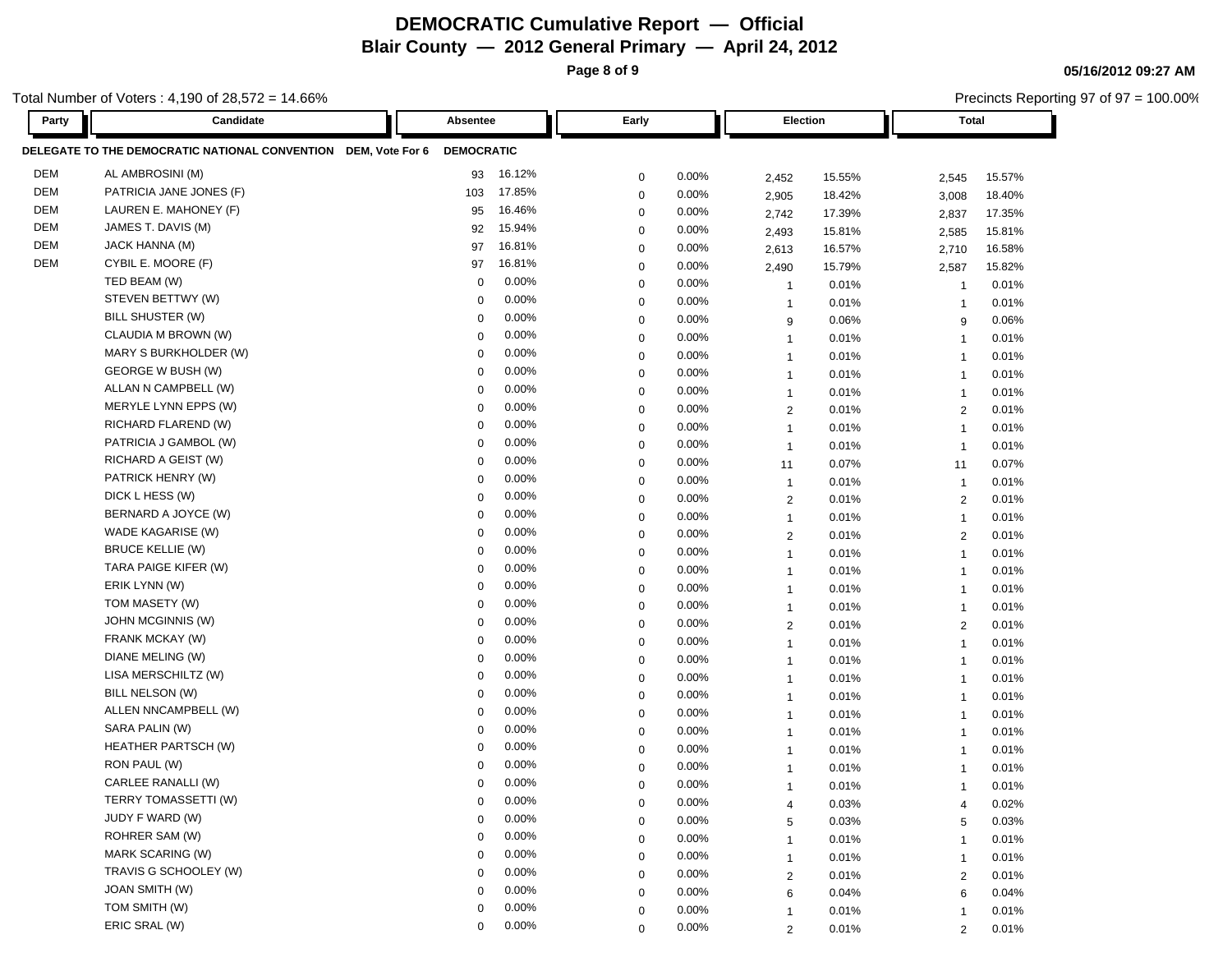**Page 8 of 9**

**05/16/2012 09:27 AM**

|            | otal Number of Voters: 4,190 of 28,572 = 14.66%                |                   |                       |       |                |        | Precincts Reporting 97 of 97 = 100.00% |        |  |
|------------|----------------------------------------------------------------|-------------------|-----------------------|-------|----------------|--------|----------------------------------------|--------|--|
| Party      | Candidate                                                      | Absentee          | Early                 |       | Election       |        | <b>Total</b>                           |        |  |
|            | DELEGATE TO THE DEMOCRATIC NATIONAL CONVENTION DEM, Vote For 6 | <b>DEMOCRATIC</b> |                       |       |                |        |                                        |        |  |
| DEM        | AL AMBROSINI (M)                                               | 93                | 16.12%<br>$\mathbf 0$ | 0.00% | 2,452          | 15.55% | 2,545                                  | 15.57% |  |
| <b>DEM</b> | PATRICIA JANE JONES (F)                                        | 103               | 17.85%<br>$\mathbf 0$ | 0.00% | 2,905          | 18.42% | 3,008                                  | 18.40% |  |
| DEM        | LAUREN E. MAHONEY (F)                                          | 95                | 16.46%<br>0           | 0.00% | 2,742          | 17.39% | 2,837                                  | 17.35% |  |
| <b>DEM</b> | JAMES T. DAVIS (M)                                             | 92                | 15.94%<br>0           | 0.00% | 2,493          | 15.81% | 2,585                                  | 15.81% |  |
| DEM        | JACK HANNA (M)                                                 | 97                | 16.81%<br>0           | 0.00% | 2,613          | 16.57% | 2,710                                  | 16.58% |  |
| DEM        | CYBIL E. MOORE (F)                                             | 97                | 16.81%<br>0           | 0.00% | 2,490          | 15.79% | 2,587                                  | 15.82% |  |
|            | TED BEAM (W)                                                   | $\mathbf 0$       | 0.00%<br>$\mathbf 0$  | 0.00% | $\overline{1}$ | 0.01%  | -1                                     | 0.01%  |  |
|            | STEVEN BETTWY (W)                                              | 0                 | 0.00%<br>$\mathbf 0$  | 0.00% | $\overline{1}$ | 0.01%  | -1                                     | 0.01%  |  |
|            | BILL SHUSTER (W)                                               | $\mathbf 0$       | 0.00%<br>0            | 0.00% | 9              | 0.06%  | 9                                      | 0.06%  |  |
|            | CLAUDIA M BROWN (W)                                            | $\mathbf 0$       | 0.00%<br>0            | 0.00% | $\overline{1}$ | 0.01%  | $\overline{\mathbf{1}}$                | 0.01%  |  |
|            | MARY S BURKHOLDER (W)                                          | 0                 | 0.00%<br>$\mathbf 0$  | 0.00% | $\overline{1}$ | 0.01%  | $\overline{1}$                         | 0.01%  |  |
|            | GEORGE W BUSH (W)                                              | 0                 | 0.00%<br>$\mathbf 0$  | 0.00% | $\overline{1}$ | 0.01%  | $\overline{1}$                         | 0.01%  |  |
|            | ALLAN N CAMPBELL (W)                                           | $\mathbf 0$       | 0.00%<br>$\mathbf 0$  | 0.00% | $\mathbf{1}$   | 0.01%  | $\overline{1}$                         | 0.01%  |  |
|            | MERYLE LYNN EPPS (W)                                           | 0                 | 0.00%<br>$\mathbf 0$  | 0.00% | $\overline{2}$ | 0.01%  | 2                                      | 0.01%  |  |
|            | RICHARD FLAREND (W)                                            | 0                 | 0.00%<br>0            | 0.00% | $\overline{1}$ | 0.01%  | $\overline{\mathbf{1}}$                | 0.01%  |  |
|            | PATRICIA J GAMBOL (W)                                          | 0                 | 0.00%<br>0            | 0.00% | $\mathbf{1}$   | 0.01%  | $\overline{1}$                         | 0.01%  |  |
|            | RICHARD A GEIST (W)                                            | 0                 | 0.00%<br>0            | 0.00% | 11             | 0.07%  | 11                                     | 0.07%  |  |
|            | PATRICK HENRY (W)                                              | 0                 | 0.00%<br>0            | 0.00% | $\mathbf{1}$   | 0.01%  | $\overline{1}$                         | 0.01%  |  |
|            | DICK L HESS (W)                                                | $\mathbf 0$       | 0.00%<br>0            | 0.00% | $\overline{2}$ | 0.01%  | $\overline{2}$                         | 0.01%  |  |
|            | BERNARD A JOYCE (W)                                            | 0                 | 0.00%<br>$\mathbf 0$  | 0.00% | $\mathbf{1}$   | 0.01%  | $\overline{1}$                         | 0.01%  |  |
|            | WADE KAGARISE (W)                                              | 0                 | 0.00%<br>$\mathbf 0$  | 0.00% | $\overline{2}$ | 0.01%  | $\overline{2}$                         | 0.01%  |  |
|            | <b>BRUCE KELLIE (W)</b>                                        | $\Omega$          | 0.00%<br>0            | 0.00% | $\overline{1}$ | 0.01%  | $\overline{1}$                         | 0.01%  |  |
|            | TARA PAIGE KIFER (W)                                           | 0                 | 0.00%<br>$\mathbf 0$  | 0.00% | $\mathbf{1}$   | 0.01%  | $\overline{1}$                         | 0.01%  |  |
|            | ERIK LYNN (W)                                                  | $\mathbf 0$       | 0.00%<br>0            | 0.00% | $\overline{1}$ | 0.01%  | $\overline{1}$                         | 0.01%  |  |
|            | TOM MASETY (W)                                                 | $\Omega$          | 0.00%<br>$\mathbf 0$  | 0.00% | $\overline{1}$ | 0.01%  | $\overline{1}$                         | 0.01%  |  |
|            | JOHN MCGINNIS (W)                                              | 0                 | 0.00%<br>$\mathbf 0$  | 0.00% | $\overline{2}$ | 0.01%  | $\overline{2}$                         | 0.01%  |  |
|            | FRANK MCKAY (W)                                                | 0                 | 0.00%<br>0            | 0.00% | $\overline{1}$ | 0.01%  | $\overline{1}$                         | 0.01%  |  |
|            | DIANE MELING (W)                                               | 0                 | 0.00%<br>0            | 0.00% | $\overline{1}$ | 0.01%  | $\overline{1}$                         | 0.01%  |  |
|            | LISA MERSCHILTZ (W)                                            | 0                 | 0.00%<br>0            | 0.00% | $\mathbf{1}$   | 0.01%  | $\overline{1}$                         | 0.01%  |  |
|            | BILL NELSON (W)                                                | $\mathbf 0$       | 0.00%<br>0            | 0.00% | $\overline{1}$ | 0.01%  | $\overline{1}$                         | 0.01%  |  |
|            | ALLEN NNCAMPBELL (W)                                           | 0                 | 0.00%<br>$\mathbf 0$  | 0.00% | $\overline{1}$ | 0.01%  | $\mathbf{1}$                           | 0.01%  |  |
|            | SARA PALIN (W)                                                 | 0                 | 0.00%<br>$\mathbf 0$  | 0.00% | $\overline{1}$ | 0.01%  | -1                                     | 0.01%  |  |
|            | HEATHER PARTSCH (W)                                            | $\Omega$          | 0.00%<br>$\Omega$     | 0.00% | $\overline{1}$ | 0.01%  | -1                                     | 0.01%  |  |
|            | RON PAUL (W)                                                   | $\Omega$          | 0.00%<br>$\mathbf 0$  | 0.00% | $\mathbf{1}$   | 0.01%  | $\overline{1}$                         | 0.01%  |  |
|            | CARLEE RANALLI (W)                                             | 0                 | 0.00%<br>$\Omega$     | 0.00% |                | 0.01%  |                                        | 0.01%  |  |
|            | TERRY TOMASSETTI (W)                                           | $\mathbf 0$       | 0.00%<br>0            | 0.00% | 4              | 0.03%  | $\overline{4}$                         | 0.02%  |  |
|            | JUDY F WARD (W)                                                | $\Omega$          | 0.00%<br>$\mathbf 0$  | 0.00% | 5              | 0.03%  | 5                                      | 0.03%  |  |
|            | ROHRER SAM (W)                                                 | 0                 | 0.00%<br>$\mathbf 0$  | 0.00% | $\mathbf{1}$   | 0.01%  | -1                                     | 0.01%  |  |
|            | MARK SCARING (W)                                               | 0                 | 0.00%<br>0            | 0.00% | $\mathbf{1}$   | 0.01%  | -1                                     | 0.01%  |  |
|            | TRAVIS G SCHOOLEY (W)                                          | 0                 | 0.00%<br>0            | 0.00% | $\overline{c}$ | 0.01%  | $\overline{2}$                         | 0.01%  |  |
|            | <b>JOAN SMITH (W)</b>                                          | 0                 | 0.00%<br>0            | 0.00% | 6              | 0.04%  | 6                                      | 0.04%  |  |
|            | TOM SMITH (W)                                                  | $\mathbf 0$       | 0.00%<br>0            | 0.00% | $\mathbf{1}$   | 0.01%  | $\mathbf 1$                            | 0.01%  |  |
|            | ERIC SRAL (W)                                                  | $\Omega$          | 0.00%<br>0            | 0.00% | $\overline{2}$ | 0.01%  | $\overline{2}$                         | 0.01%  |  |